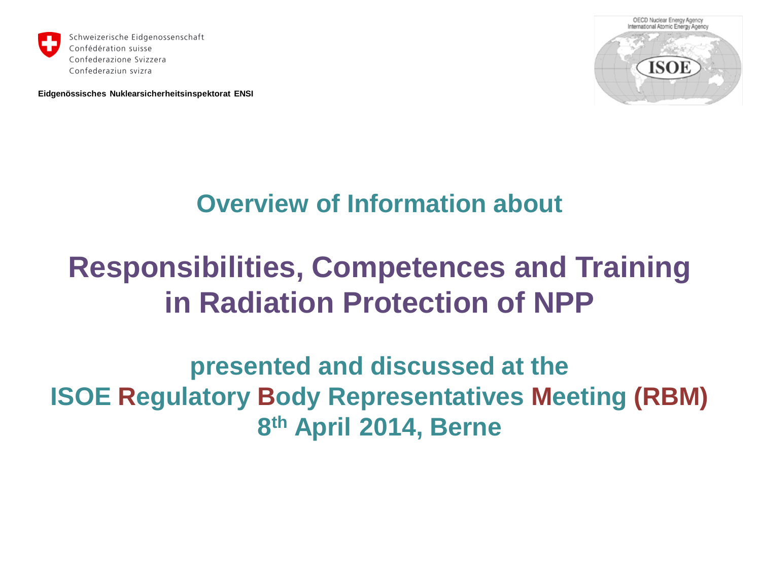

**Eidgenössisches Nuklearsicherheitsinspektorat ENSI**



### **Overview of Information about**

## **Responsibilities, Competences and Training in Radiation Protection of NPP**

**presented and discussed at the ISOE Regulatory Body Representatives Meeting (RBM) 8th April 2014, Berne**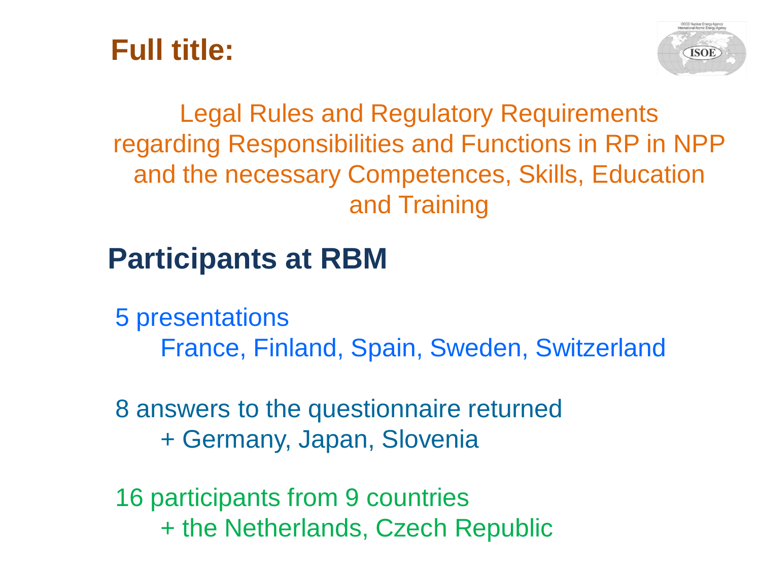



## Legal Rules and Regulatory Requirements regarding Responsibilities and Functions in RP in NPP and the necessary Competences, Skills, Education and Training

## **Participants at RBM**

5 presentations France, Finland, Spain, Sweden, Switzerland

8 answers to the questionnaire returned + Germany, Japan, Slovenia

16 participants from 9 countries + the Netherlands, Czech Republic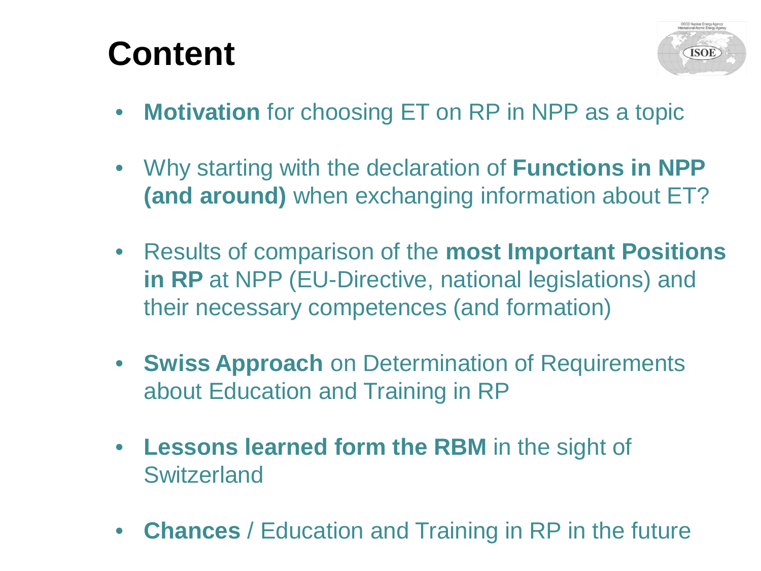# **Content**



- **Motivation** for choosing ET on RP in NPP as a topic
- Why starting with the declaration of **Functions in NPP (and around)** when exchanging information about ET?
- Results of comparison of the **most Important Positions in RP** at NPP (EU-Directive, national legislations) and their necessary competences (and formation)
- **Swiss Approach** on Determination of Requirements about Education and Training in RP
- **Lessons learned form the RBM** in the sight of **Switzerland**
- **Chances** / Education and Training in RP in the future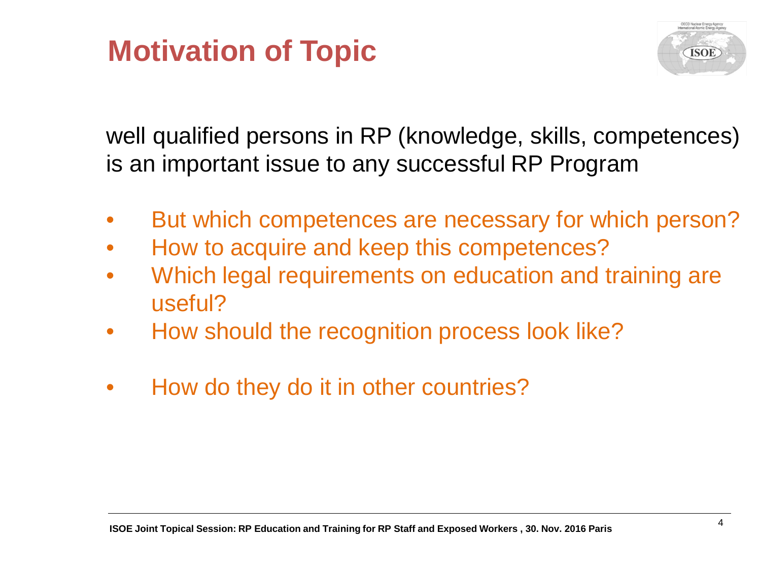## **Motivation of Topic**



well qualified persons in RP (knowledge, skills, competences) is an important issue to any successful RP Program

- But which competences are necessary for which person?
- How to acquire and keep this competences?
- Which legal requirements on education and training are useful?
- How should the recognition process look like?
- How do they do it in other countries?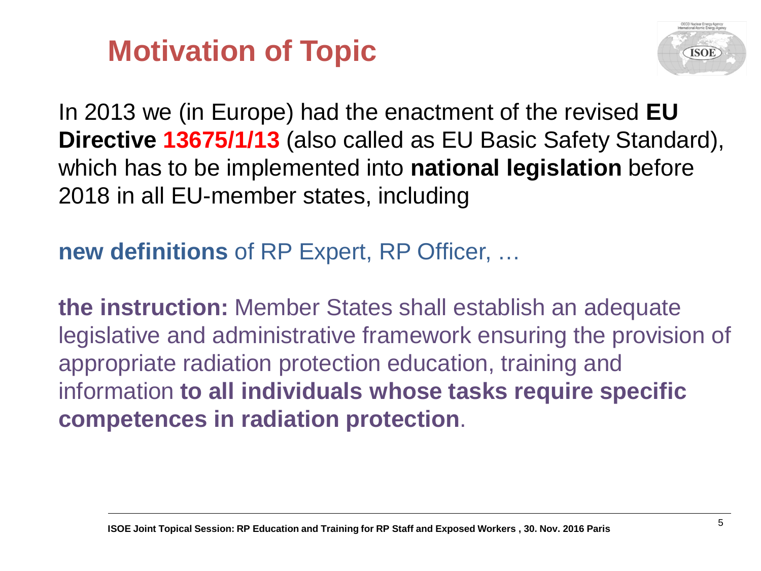## **Motivation of Topic**



In 2013 we (in Europe) had the enactment of the revised **EU Directive 13675/1/13** (also called as EU Basic Safety Standard), which has to be implemented into **national legislation** before 2018 in all EU-member states, including

**new definitions** of RP Expert, RP Officer, …

**the instruction:** Member States shall establish an adequate legislative and administrative framework ensuring the provision of appropriate radiation protection education, training and information **to all individuals whose tasks require specific competences in radiation protection**.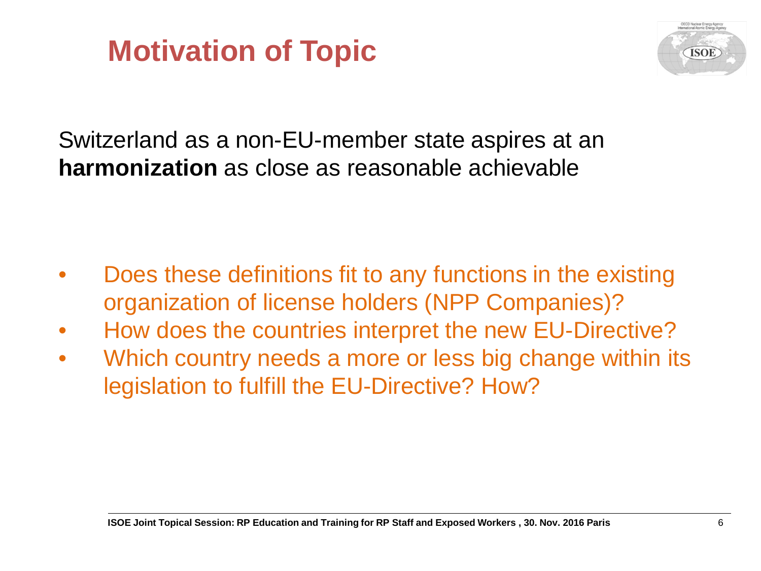## **Motivation of Topic**



Switzerland as a non-EU-member state aspires at an **harmonization** as close as reasonable achievable

- Does these definitions fit to any functions in the existing organization of license holders (NPP Companies)?
- How does the countries interpret the new EU-Directive?
- Which country needs a more or less big change within its legislation to fulfill the EU-Directive? How?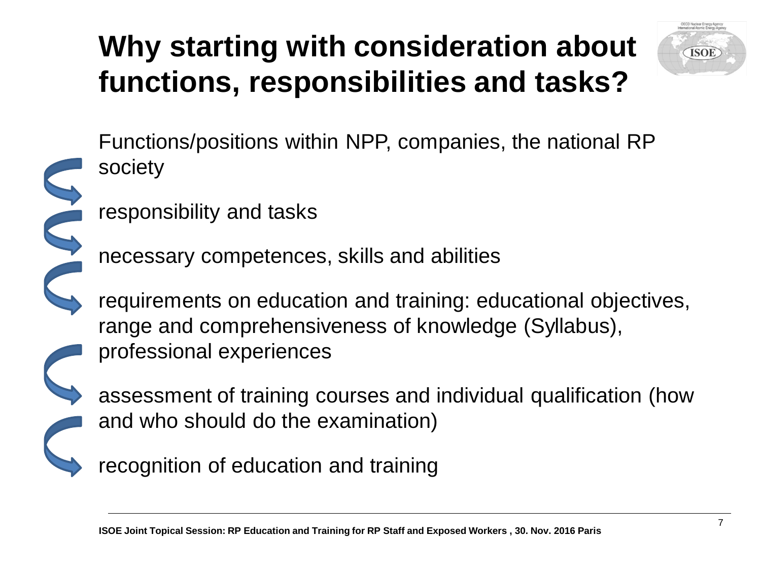# **Why starting with consideration about functions, responsibilities and tasks?**



Functions/positions within NPP, companies, the national RP society

responsibility and tasks

S

necessary competences, skills and abilities

requirements on education and training: educational objectives, range and comprehensiveness of knowledge (Syllabus), professional experiences

assessment of training courses and individual qualification (how and who should do the examination)

recognition of education and training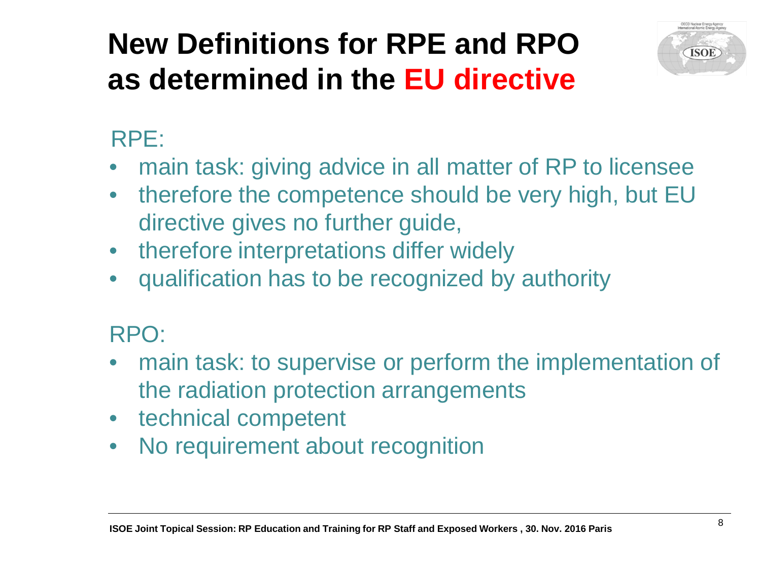# **New Definitions for RPE and RPO as determined in the EU directive**



### RPE:

- main task: giving advice in all matter of RP to licensee
- therefore the competence should be very high, but EU directive gives no further guide,
- therefore interpretations differ widely
- qualification has to be recognized by authority

### RPO:

- main task: to supervise or perform the implementation of the radiation protection arrangements
- technical competent
- No requirement about recognition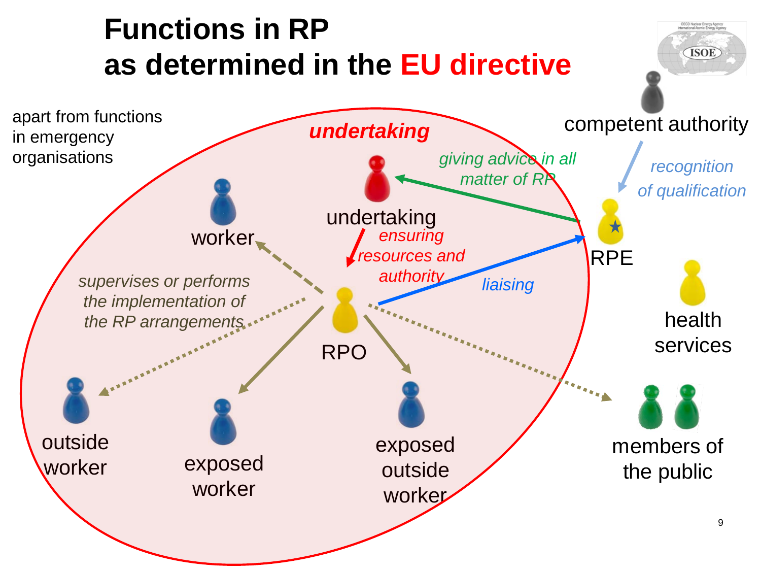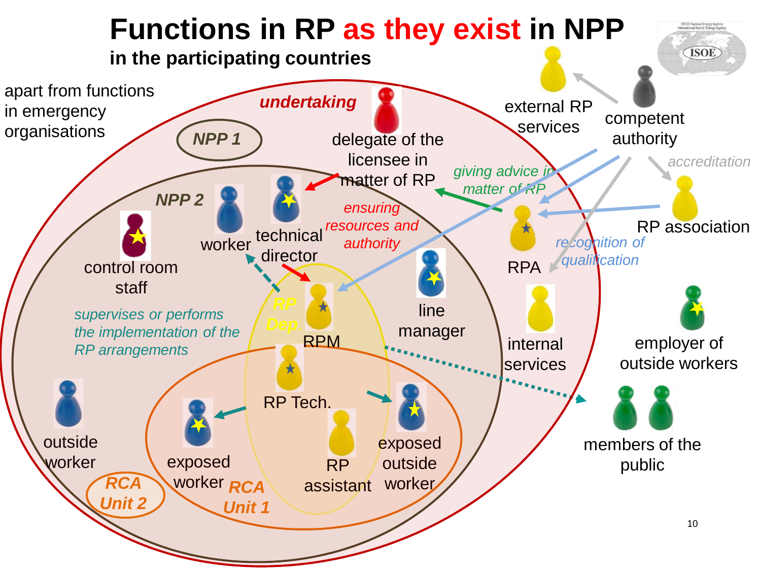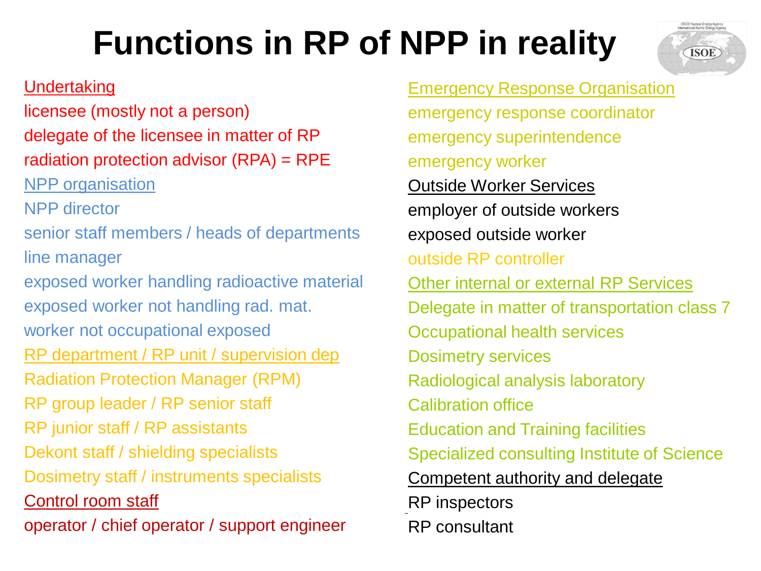# **Functions in RP of NPP in reality**

#### **Undertaking**

licensee (mostly not a person) delegate of the licensee in matter of RP radiation protection advisor (RPA) = RPE NPP organisation

NPP director

senior staff members / heads of departments line manager

exposed worker handling radioactive material exposed worker not handling rad. mat. worker not occupational exposed

RP department / RP unit / supervision dep

Radiation Protection Manager (RPM)

RP group leader / RP senior staff

RP junior staff / RP assistants

Dekont staff / shielding specialists

Dosimetry staff / instruments specialists

Control room staff

**ISOE Register April 2014 I Berne Presentative I Berne Presentant** I Berneem I Berneem I Berneem I Berneem I Berne

Emergency Response Organisation emergency response coordinator emergency superintendence emergency worker

Outside Worker Services

employer of outside workers exposed outside worker

outside RP controller

Other internal or external RP Services

Delegate in matter of transportation class 7

Occupational health services

Dosimetry services

Radiological analysis laboratory

Calibration office

Education and Training facilities

Specialized consulting Institute of Science

Competent authority and delegate

RP inspectors

RP consultant

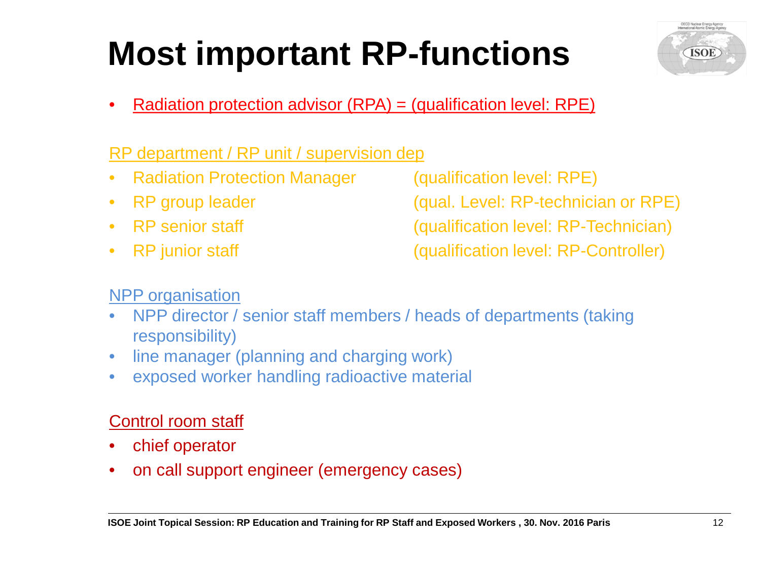# **Most important RP-functions**



• Radiation protection advisor (RPA) = (qualification level: RPE)

#### RP department / RP unit / supervision dep

- Radiation Protection Manager (qualification level: RPE)
- 
- 
- 

• RP group leader (qual. Level: RP-technician or RPE)

• RP senior staff (qualification level: RP-Technician)

• RP junior staff (qualification level: RP-Controller)

#### NPP organisation

- NPP director / senior staff members / heads of departments (taking responsibility)
- line manager (planning and charging work)
- exposed worker handling radioactive material

#### Control room staff

- chief operator
- on call support engineer (emergency cases)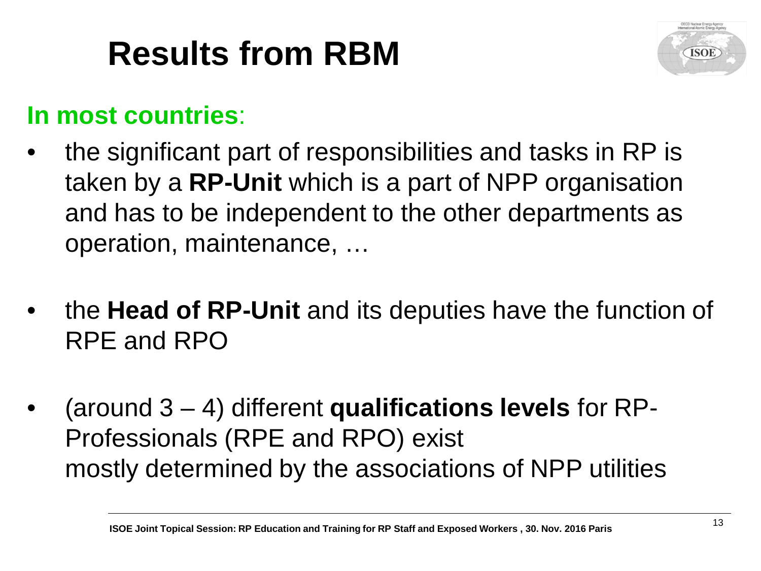# **Results from RBM**



### **In most countries**:

- the significant part of responsibilities and tasks in RP is taken by a **RP-Unit** which is a part of NPP organisation and has to be independent to the other departments as operation, maintenance, …
- the **Head of RP-Unit** and its deputies have the function of RPE and RPO
- (around 3 4) different **qualifications levels** for RP-Professionals (RPE and RPO) exist mostly determined by the associations of NPP utilities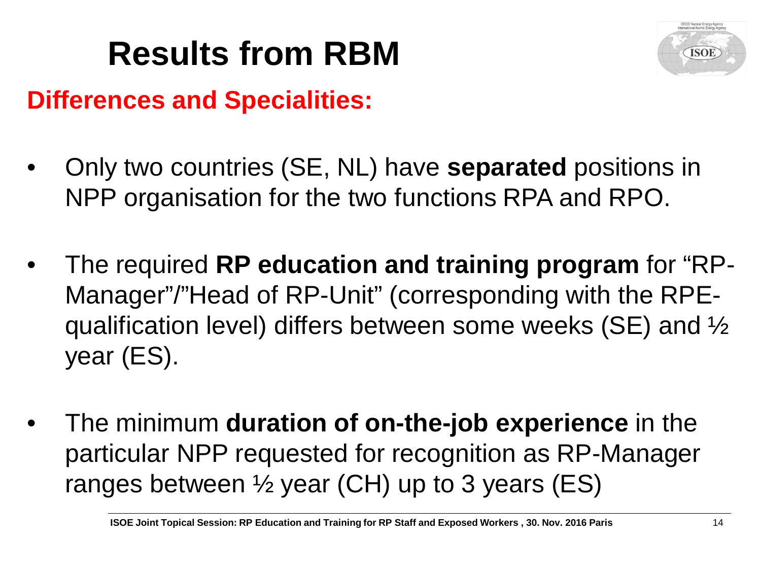# **Results from RBM**



### **Differences and Specialities:**

- Only two countries (SE, NL) have **separated** positions in NPP organisation for the two functions RPA and RPO.
- The required **RP education and training program** for "RP-Manager"/"Head of RP-Unit" (corresponding with the RPEqualification level) differs between some weeks (SE) and ½ year (ES).
- The minimum **duration of on-the-job experience** in the particular NPP requested for recognition as RP-Manager ranges between ½ year (CH) up to 3 years (ES)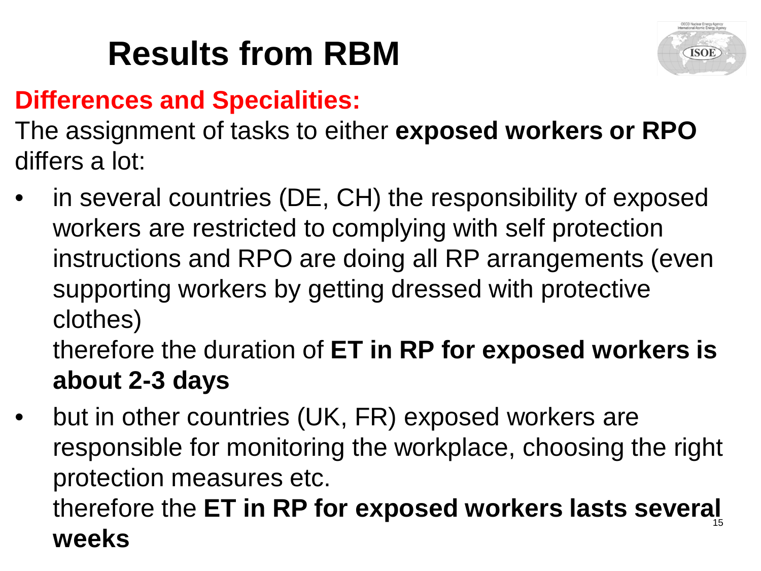# **Results from RBM**



## **Differences and Specialities:**

The assignment of tasks to either **exposed workers or RPO**  differs a lot:

in several countries (DE, CH) the responsibility of exposed workers are restricted to complying with self protection instructions and RPO are doing all RP arrangements (even supporting workers by getting dressed with protective clothes)

therefore the duration of **ET in RP for exposed workers is about 2-3 days**

but in other countries (UK, FR) exposed workers are responsible for monitoring the workplace, choosing the right protection measures etc.

#### therefore the **ET in RP for exposed workers lasts several weeks**  15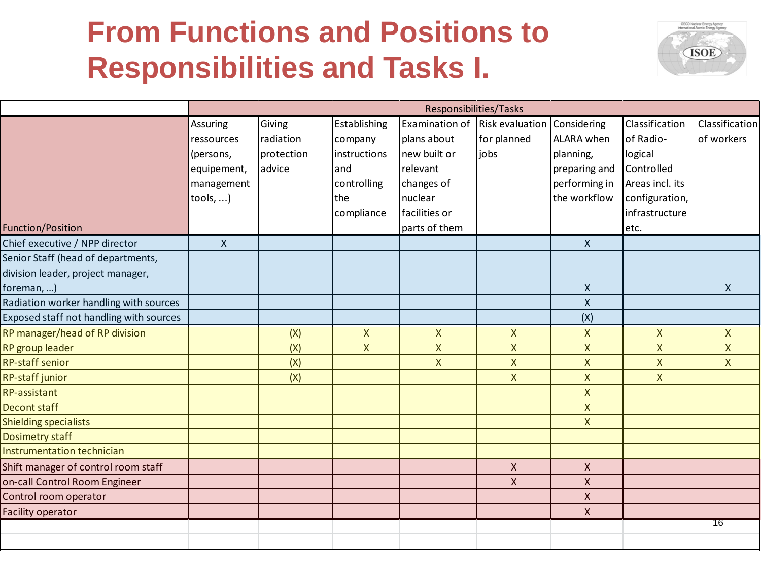## **From Functions and Positions to Responsibilities and Tasks I.**



|                                         | Responsibilities/Tasks |            |              |                |                 |                |                 |                    |
|-----------------------------------------|------------------------|------------|--------------|----------------|-----------------|----------------|-----------------|--------------------|
|                                         | Assuring               | Giving     | Establishing | Examination of | Risk evaluation | Considering    | Classification  | Classification     |
|                                         | ressources             | radiation  | company      | plans about    | for planned     | ALARA when     | of Radio-       | of workers         |
|                                         | (persons,              | protection | instructions | new built or   | jobs            | planning,      | logical         |                    |
|                                         | equipement,            | advice     | and          | relevant       |                 | preparing and  | Controlled      |                    |
|                                         | management             |            | controlling  | changes of     |                 | performing in  | Areas incl. its |                    |
|                                         | tools, )               |            | the          | nuclear        |                 | the workflow   | configuration,  |                    |
|                                         |                        |            | compliance   | facilities or  |                 |                | infrastructure  |                    |
| <b>Function/Position</b>                |                        |            |              | parts of them  |                 |                | letc.           |                    |
| Chief executive / NPP director          | $\mathsf{X}$           |            |              |                |                 | $\mathsf{X}$   |                 |                    |
| Senior Staff (head of departments,      |                        |            |              |                |                 |                |                 |                    |
| division leader, project manager,       |                        |            |              |                |                 |                |                 |                    |
| foreman, )                              |                        |            |              |                |                 | X              |                 | X                  |
| Radiation worker handling with sources  |                        |            |              |                |                 | $\mathsf{x}$   |                 |                    |
| Exposed staff not handling with sources |                        |            |              |                |                 | (X)            |                 |                    |
| RP manager/head of RP division          |                        | (X)        | $\mathsf X$  | $\mathsf{X}$   | $\mathsf X$     | $\mathsf X$    | $\mathsf{X}$    | $\mathsf{X}$       |
| RP group leader                         |                        | (X)        | $\mathsf{X}$ | X              | $\mathsf{X}$    | $\pmb{\times}$ | X               | X                  |
| <b>RP-staff senior</b>                  |                        | (X)        |              | $\overline{X}$ | $\mathsf X$     | $\mathsf X$    | $\mathsf{X}$    | $\pmb{\mathsf{X}}$ |
| RP-staff junior                         |                        | (X)        |              |                | $\mathsf X$     | $\mathsf X$    | $\mathsf{X}$    |                    |
| <b>RP-assistant</b>                     |                        |            |              |                |                 | $\mathsf X$    |                 |                    |
| <b>Decont staff</b>                     |                        |            |              |                |                 | $\mathsf{X}$   |                 |                    |
| <b>Shielding specialists</b>            |                        |            |              |                |                 | $\mathsf{X}$   |                 |                    |
| <b>Dosimetry staff</b>                  |                        |            |              |                |                 |                |                 |                    |
| Instrumentation technician              |                        |            |              |                |                 |                |                 |                    |
| Shift manager of control room staff     |                        |            |              |                | $\mathsf{X}$    | X              |                 |                    |
| on-call Control Room Engineer           |                        |            |              |                | $\pmb{\times}$  | $\pmb{\times}$ |                 |                    |
| Control room operator                   |                        |            |              |                |                 | $\mathsf X$    |                 |                    |
| <b>Facility operator</b>                |                        |            |              |                |                 | $\pmb{\times}$ |                 |                    |
|                                         |                        |            |              |                |                 |                |                 | 76                 |
|                                         |                        |            |              |                |                 |                |                 |                    |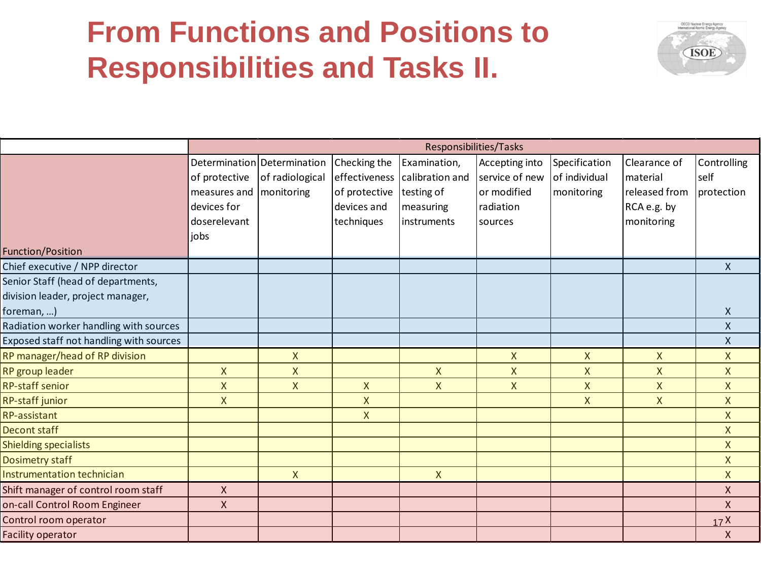## **From Functions and Positions to Responsibilities and Tasks II.**



|                                                                                       |                                                                      |                                                              |                                                                             | Responsibilities/Tasks                                                     |                                                                         |                                              |                                                                        |                                   |
|---------------------------------------------------------------------------------------|----------------------------------------------------------------------|--------------------------------------------------------------|-----------------------------------------------------------------------------|----------------------------------------------------------------------------|-------------------------------------------------------------------------|----------------------------------------------|------------------------------------------------------------------------|-----------------------------------|
|                                                                                       | of protective<br>measures and<br>devices for<br>doserelevant<br>jobs | Determination Determination<br>of radiological<br>monitoring | Checking the<br>effectiveness<br>of protective<br>devices and<br>techniques | Examination,<br>calibration and<br>testing of<br>measuring<br>linstruments | Accepting into<br>service of new<br>or modified<br>radiation<br>sources | Specification<br>of individual<br>monitoring | Clearance of<br>material<br>released from<br>RCA e.g. by<br>monitoring | Controlling<br>self<br>protection |
| <b>Function/Position</b>                                                              |                                                                      |                                                              |                                                                             |                                                                            |                                                                         |                                              |                                                                        |                                   |
| Chief executive / NPP director                                                        |                                                                      |                                                              |                                                                             |                                                                            |                                                                         |                                              |                                                                        | $\mathsf{X}$                      |
| Senior Staff (head of departments,<br>division leader, project manager,<br>foreman, ) |                                                                      |                                                              |                                                                             |                                                                            |                                                                         |                                              |                                                                        | X                                 |
| Radiation worker handling with sources                                                |                                                                      |                                                              |                                                                             |                                                                            |                                                                         |                                              |                                                                        | $\mathsf{X}$                      |
| Exposed staff not handling with sources                                               |                                                                      |                                                              |                                                                             |                                                                            |                                                                         |                                              |                                                                        | $\mathsf{X}$                      |
| RP manager/head of RP division                                                        |                                                                      | $\mathsf{X}$                                                 |                                                                             |                                                                            | $\mathsf{X}$                                                            | $\mathsf{X}$                                 | X                                                                      | $\mathsf{X}$                      |
| RP group leader                                                                       | $\mathsf{X}$                                                         | X                                                            |                                                                             | $\mathsf{X}$                                                               | $\mathsf{X}$                                                            | $\mathsf{X}$                                 | X                                                                      | $\mathsf{X}$                      |
| <b>RP-staff senior</b>                                                                | X                                                                    | $\mathsf{X}$                                                 | $\mathsf{X}$                                                                | X                                                                          | $\mathsf X$                                                             | $\mathsf{X}$                                 | X                                                                      | $\mathsf{X}$                      |
| RP-staff junior                                                                       | X                                                                    |                                                              | X                                                                           |                                                                            |                                                                         | $\mathsf{X}$                                 | X                                                                      | $\mathsf{X}$                      |
| RP-assistant                                                                          |                                                                      |                                                              | $\mathsf{X}$                                                                |                                                                            |                                                                         |                                              |                                                                        | $\mathsf{X}$                      |
| <b>Decont staff</b>                                                                   |                                                                      |                                                              |                                                                             |                                                                            |                                                                         |                                              |                                                                        | $\mathsf{X}$                      |
| <b>Shielding specialists</b>                                                          |                                                                      |                                                              |                                                                             |                                                                            |                                                                         |                                              |                                                                        | $\mathsf{X}$                      |
| Dosimetry staff                                                                       |                                                                      |                                                              |                                                                             |                                                                            |                                                                         |                                              |                                                                        | $\mathsf{X}$                      |
| Instrumentation technician                                                            |                                                                      | $\mathsf{X}$                                                 |                                                                             | $\mathsf{X}$                                                               |                                                                         |                                              |                                                                        | $\mathsf{X}$                      |
| Shift manager of control room staff                                                   | $\pmb{\mathsf{X}}$                                                   |                                                              |                                                                             |                                                                            |                                                                         |                                              |                                                                        | $\mathsf{X}$                      |
| on-call Control Room Engineer                                                         | $\mathsf{X}$                                                         |                                                              |                                                                             |                                                                            |                                                                         |                                              |                                                                        | $\mathsf{X}$                      |
| Control room operator                                                                 |                                                                      |                                                              |                                                                             |                                                                            |                                                                         |                                              |                                                                        | 17 <sup>X</sup>                   |
| Facility operator                                                                     |                                                                      |                                                              |                                                                             |                                                                            |                                                                         |                                              |                                                                        | $\mathsf{X}$                      |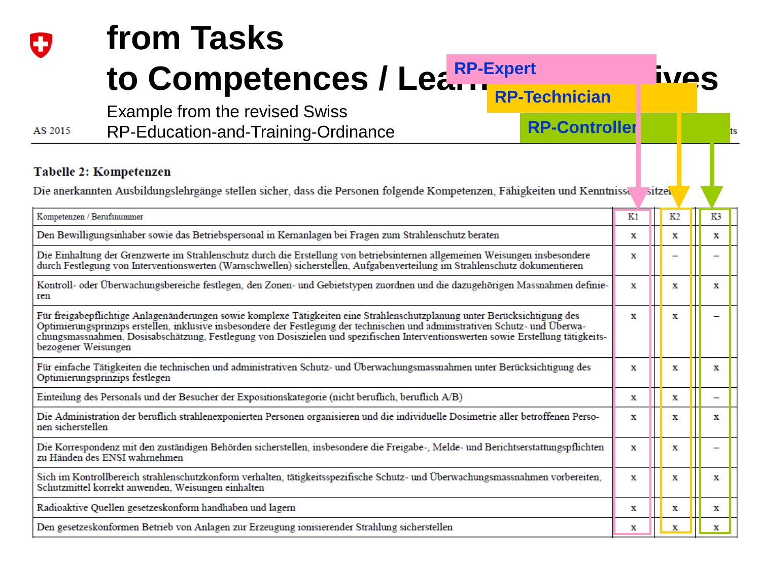|                     | from Tasks                                                                                                                                                                                                                                                                                                                                                                                     |    |                |                          |
|---------------------|------------------------------------------------------------------------------------------------------------------------------------------------------------------------------------------------------------------------------------------------------------------------------------------------------------------------------------------------------------------------------------------------|----|----------------|--------------------------|
|                     | to Competences / Learn Learn                                                                                                                                                                                                                                                                                                                                                                   |    | <u>ivos</u>    |                          |
| AS 2015             | <b>RP-Technician</b><br><b>Example from the revised Swiss</b><br><b>RP-Controller</b><br>RP-Education-and-Training-Ordinance                                                                                                                                                                                                                                                                   |    |                |                          |
|                     | Tabelle 2: Kompetenzen                                                                                                                                                                                                                                                                                                                                                                         |    |                |                          |
|                     | Die anerkannten Ausbildungslehrgänge stellen sicher, dass die Personen folgende Kompetenzen, Fähigkeiten und Kenntnisse                                                                                                                                                                                                                                                                        |    | sitzei         |                          |
|                     | Kompetenzen / Berufsnummer                                                                                                                                                                                                                                                                                                                                                                     | K1 | K <sub>2</sub> | K3                       |
|                     | Den Bewilligungsinhaber sowie das Betriebspersonal in Kernanlagen bei Fragen zum Strahlenschutz beraten                                                                                                                                                                                                                                                                                        | х  | x              | х                        |
|                     | Die Einhaltung der Grenzwerte im Strahlenschutz durch die Erstellung von betriebsinternen allgemeinen Weisungen insbesondere<br>durch Festlegung von Interventionswerten (Warnschwellen) sicherstellen, Aufgabenverteilung im Strahlenschutz dokumentieren                                                                                                                                     | х  |                |                          |
| ren                 | Kontroll- oder Überwachungsbereiche festlegen, den Zonen- und Gebietstypen zuordnen und die dazugehörigen Massnahmen definie-                                                                                                                                                                                                                                                                  | x  | х              | x                        |
| bezogener Weisungen | Für freigabepflichtige Anlagenänderungen sowie komplexe Tätigkeiten eine Strahlenschutzplanung unter Berücksichtigung des<br>Optimierungsprinzips erstellen, inklusive insbesondere der Festlegung der technischen und administrativen Schutz- und Überwa-<br>chungsmassnahmen, Dosisabschätzung, Festlegung von Dosiszielen und spezifischen Interventionswerten sowie Erstellung tätigkeits- | x  | x              |                          |
|                     | Für einfache Tätigkeiten die technischen und administrativen Schutz- und Überwachungsmassnahmen unter Berücksichtigung des<br>Optimierungsprinzips festlegen                                                                                                                                                                                                                                   | x  | x              | x                        |
|                     | Einteilung des Personals und der Besucher der Expositionskategorie (nicht beruflich, beruflich A/B)                                                                                                                                                                                                                                                                                            | х  | х              | $\overline{\phantom{0}}$ |
| nen sicherstellen   | Die Administration der beruflich strahlenexponierten Personen organisieren und die individuelle Dosimetrie aller betroffenen Perso-                                                                                                                                                                                                                                                            | x  | х              | x                        |
|                     | Die Korrespondenz mit den zuständigen Behörden sicherstellen, insbesondere die Freigabe-, Melde- und Berichtserstattungspflichten<br>zu Händen des ENSI wahrnehmen                                                                                                                                                                                                                             | x  | х              | $\overline{\phantom{0}}$ |
|                     | Sich im Kontrollbereich strahlenschutzkonform verhalten, tätigkeitsspezifische Schutz- und Überwachungsmassnahmen vorbereiten,<br>Schutzmittel korrekt anwenden, Weisungen einhalten                                                                                                                                                                                                           | х  | x              | x                        |
|                     | Radioaktive Quellen gesetzeskonform handhaben und lagern                                                                                                                                                                                                                                                                                                                                       | х  | x              | x                        |
|                     | Den gesetzeskonformen Betrieb von Anlagen zur Erzeugung ionisierender Strahlung sicherstellen                                                                                                                                                                                                                                                                                                  | x  | х              | x                        |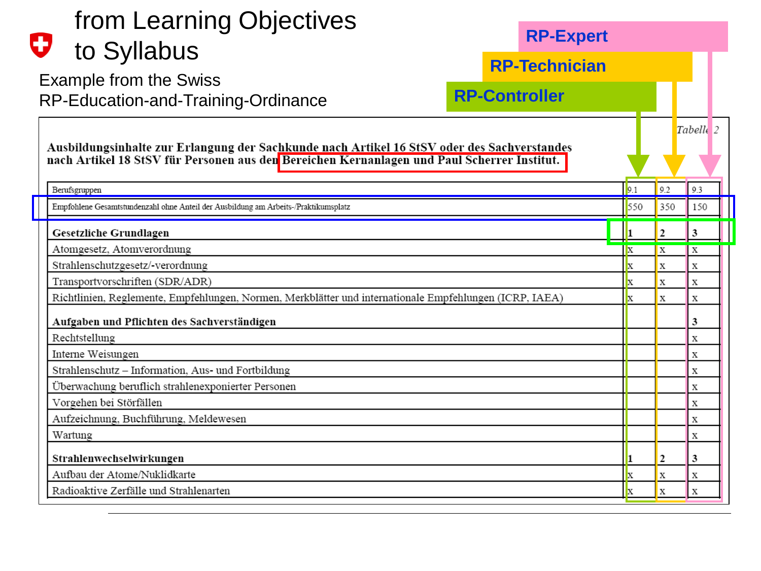| from Learning Objectives<br>U                                                                                                                                                              | <b>RP-Expert</b>     |                           |                      |
|--------------------------------------------------------------------------------------------------------------------------------------------------------------------------------------------|----------------------|---------------------------|----------------------|
| to Syllabus                                                                                                                                                                                | <b>RP-Technician</b> |                           |                      |
| <b>Example from the Swiss</b>                                                                                                                                                              |                      |                           |                      |
| RP-Education-and-Training-Ordinance                                                                                                                                                        | <b>RP-Controller</b> |                           |                      |
| Ausbildungsinhalte zur Erlangung der Sachkunde nach Artikel 16 StSV oder des Sachverstandes<br>nach Artikel 18 StSV für Personen aus den Bereichen Kernanlagen und Paul Scherrer Institut. |                      |                           | Tabelle <sub>2</sub> |
| Berufsgruppen                                                                                                                                                                              | 9.1                  | 9.2                       | 9.3                  |
| Empfohlene Gesamtstundenzahl ohne Anteil der Ausbildung am Arbeits-/Praktikumsplatz                                                                                                        | 550                  | 350                       | 150                  |
| Gesetzliche Grundlagen                                                                                                                                                                     |                      | 2                         | 3                    |
| Atomgesetz, Atomverordnung                                                                                                                                                                 | X                    | $\boldsymbol{\mathrm{X}}$ | X                    |
| Strahlenschutzgesetz/-verordnung                                                                                                                                                           | X                    | X                         | X                    |
| Transportvorschriften (SDR/ADR)                                                                                                                                                            | $\mathbf{x}$         | x                         | X                    |
| Richtlinien, Reglemente, Empfehlungen, Normen, Merkblätter und internationale Empfehlungen (ICRP, IAEA)                                                                                    |                      | X                         | X                    |
| Aufgaben und Pflichten des Sachverständigen                                                                                                                                                |                      |                           | 3                    |
| Rechtstellung                                                                                                                                                                              |                      |                           | X                    |
| Interne Weisungen                                                                                                                                                                          |                      |                           | X                    |
| Strahlenschutz - Information, Aus- und Fortbildung                                                                                                                                         |                      |                           | X                    |
| Überwachung beruflich strahlenexponierter Personen                                                                                                                                         |                      |                           | X                    |
| Vorgehen bei Störfällen                                                                                                                                                                    |                      |                           | X                    |
| Aufzeichnung, Buchführung, Meldewesen                                                                                                                                                      |                      |                           | X                    |
| Wartung                                                                                                                                                                                    |                      |                           | х                    |
| Strahlenwechselwirkungen                                                                                                                                                                   |                      | 2                         | 3                    |
| Aufbau der Atome/Nuklidkarte                                                                                                                                                               | x                    | X                         | х                    |
| Radioaktive Zerfälle und Strahlenarten                                                                                                                                                     | $\mathbf x$          | X                         | X                    |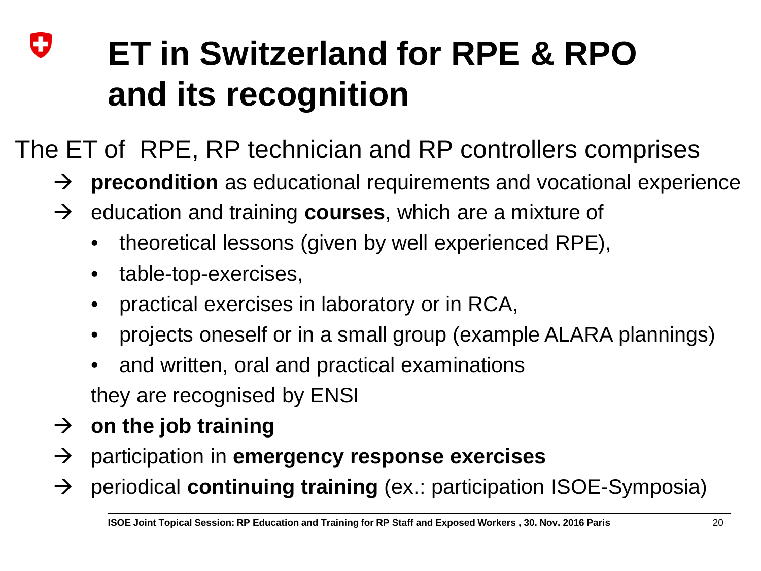### IJ **ET in Switzerland for RPE & RPO and its recognition**

The ET of RPE, RP technician and RP controllers comprises

- → **precondition** as educational requirements and vocational experience
- $\rightarrow$  education and training **courses**, which are a mixture of
	- theoretical lessons (given by well experienced RPE),
	- table-top-exercises,
	- practical exercises in laboratory or in RCA,
	- projects oneself or in a small group (example ALARA plannings)
	- and written, oral and practical examinations they are recognised by ENSI
- $\rightarrow$  on the job training
- → participation in **emergency response exercises**
- → periodical **continuing training** (ex.: participation ISOE-Symposia)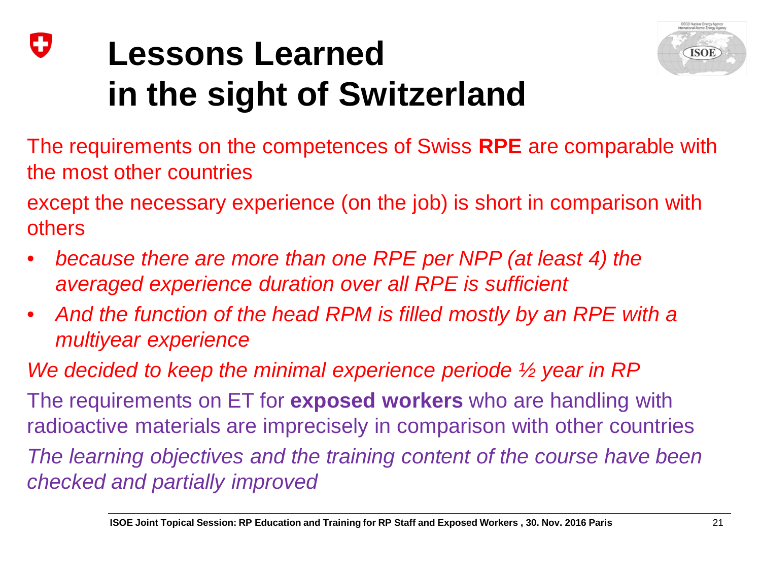### IJ **Lessons Learned in the sight of Switzerland**



The requirements on the competences of Swiss **RPE** are comparable with the most other countries

except the necessary experience (on the job) is short in comparison with others

- *because there are more than one RPE per NPP (at least 4) the averaged experience duration over all RPE is sufficient*
- *And the function of the head RPM is filled mostly by an RPE with a multiyear experience*

*We decided to keep the minimal experience periode ½ year in RP* The requirements on ET for **exposed workers** who are handling with radioactive materials are imprecisely in comparison with other countries *The learning objectives and the training content of the course have been checked and partially improved*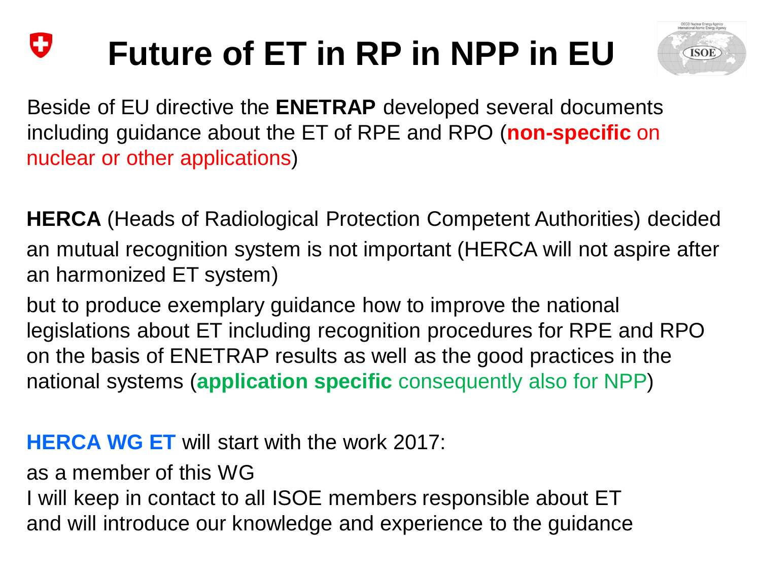#### IJ **Future of ET in RP in NPP in EU**



Beside of EU directive the **ENETRAP** developed several documents including guidance about the ET of RPE and RPO (**non-specific** on nuclear or other applications)

**HERCA** (Heads of Radiological Protection Competent Authorities) decided an mutual recognition system is not important (HERCA will not aspire after an harmonized ET system)

but to produce exemplary guidance how to improve the national legislations about ET including recognition procedures for RPE and RPO on the basis of ENETRAP results as well as the good practices in the national systems (**application specific** consequently also for NPP)

#### **HERCA WG ET** will start with the work 2017:

as a member of this WG

and will introduce our knowledge and experience to the guidance I will keep in contact to all ISOE members responsible about ET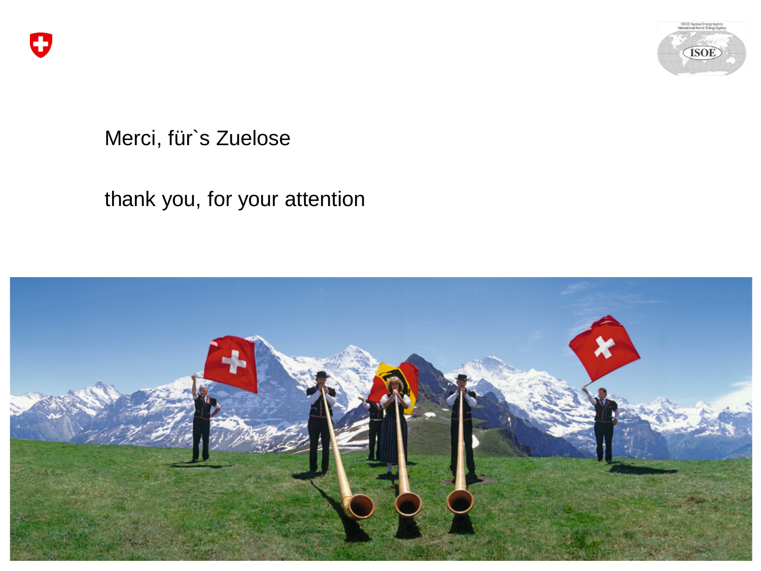



#### Merci, für`s Zuelose

#### thank you, for your attention

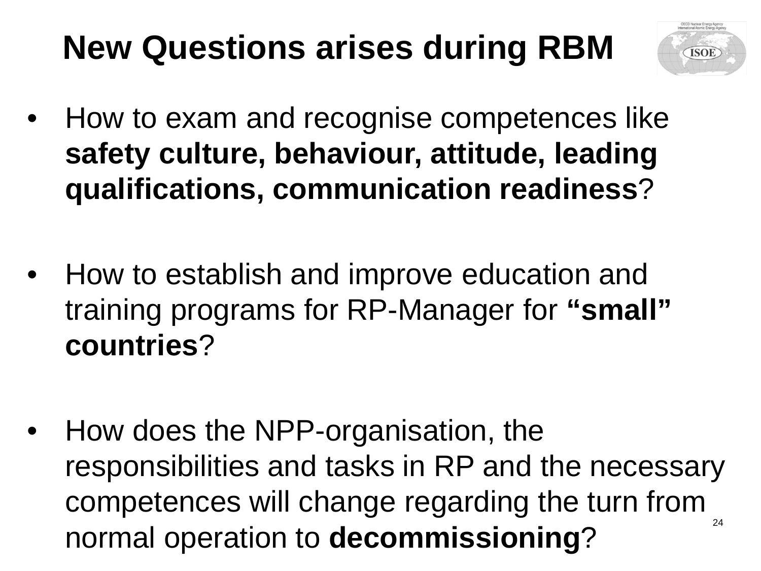# **New Questions arises during RBM**



- How to exam and recognise competences like **safety culture, behaviour, attitude, leading qualifications, communication readiness**?
- How to establish and improve education and training programs for RP-Manager for **"small" countries**?
- normal operation to **decommissioning**? • How does the NPP-organisation, the responsibilities and tasks in RP and the necessary competences will change regarding the turn from 24